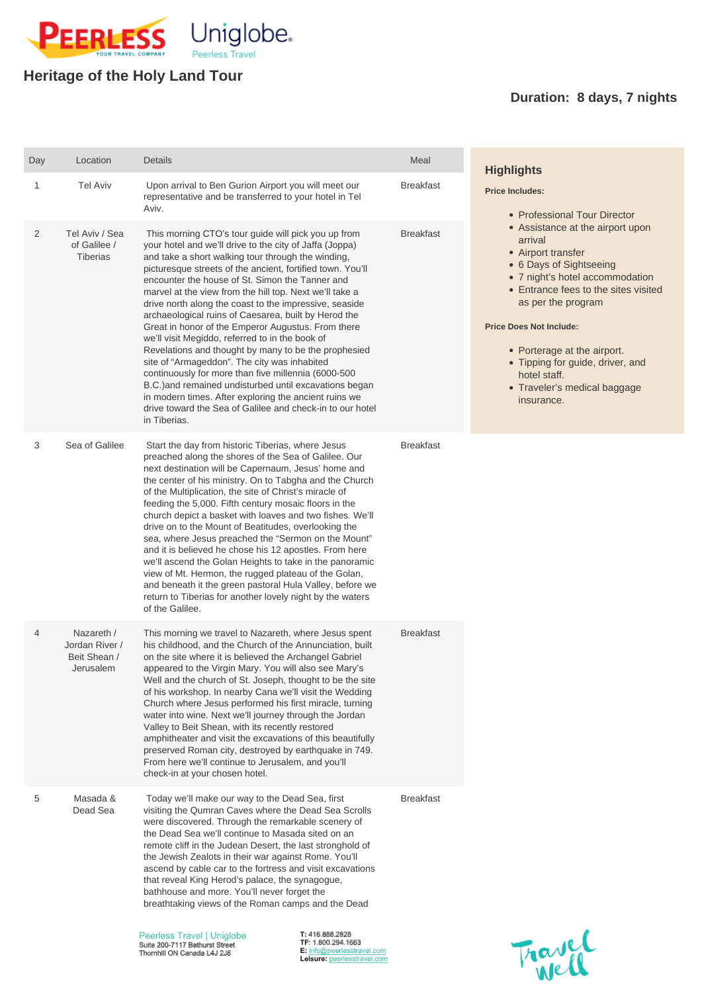

## **Heritage of the Holy Land Tour**

## **Duration: 8 days, 7 nights**

| Day            | Location                                                  | <b>Details</b>                                                                                                                                                                                                                                                                                                                                                                                                                                                                                                                                                                                                                                                                                                                                                                                                                                                                                                                             | Meal             | <b>Highlights</b>                                                                                                                                                                                                                                                                                                                                                |  |
|----------------|-----------------------------------------------------------|--------------------------------------------------------------------------------------------------------------------------------------------------------------------------------------------------------------------------------------------------------------------------------------------------------------------------------------------------------------------------------------------------------------------------------------------------------------------------------------------------------------------------------------------------------------------------------------------------------------------------------------------------------------------------------------------------------------------------------------------------------------------------------------------------------------------------------------------------------------------------------------------------------------------------------------------|------------------|------------------------------------------------------------------------------------------------------------------------------------------------------------------------------------------------------------------------------------------------------------------------------------------------------------------------------------------------------------------|--|
| 1              | <b>Tel Aviv</b>                                           | Upon arrival to Ben Gurion Airport you will meet our<br>representative and be transferred to your hotel in Tel<br>Aviv.                                                                                                                                                                                                                                                                                                                                                                                                                                                                                                                                                                                                                                                                                                                                                                                                                    | <b>Breakfast</b> | <b>Price Includes:</b><br>• Professional Tour Director                                                                                                                                                                                                                                                                                                           |  |
| $\overline{2}$ | Tel Aviv / Sea<br>of Galilee /<br><b>Tiberias</b>         | This morning CTO's tour guide will pick you up from<br>your hotel and we'll drive to the city of Jaffa (Joppa)<br>and take a short walking tour through the winding,<br>picturesque streets of the ancient, fortified town. You'll<br>encounter the house of St. Simon the Tanner and<br>marvel at the view from the hill top. Next we'll take a<br>drive north along the coast to the impressive, seaside<br>archaeological ruins of Caesarea, built by Herod the<br>Great in honor of the Emperor Augustus. From there<br>we'll visit Megiddo, referred to in the book of<br>Revelations and thought by many to be the prophesied<br>site of "Armageddon". The city was inhabited<br>continuously for more than five millennia (6000-500<br>B.C.) and remained undisturbed until excavations began<br>in modern times. After exploring the ancient ruins we<br>drive toward the Sea of Galilee and check-in to our hotel<br>in Tiberias. | <b>Breakfast</b> | • Assistance at the airport upon<br>arrival<br>• Airport transfer<br>• 6 Days of Sightseeing<br>• 7 night's hotel accommodation<br>• Entrance fees to the sites visited<br>as per the program<br><b>Price Does Not Include:</b><br>• Porterage at the airport.<br>• Tipping for guide, driver, and<br>hotel staff.<br>• Traveler's medical baggage<br>insurance. |  |
| 3              | Sea of Galilee                                            | Start the day from historic Tiberias, where Jesus<br>preached along the shores of the Sea of Galilee. Our<br>next destination will be Capernaum, Jesus' home and<br>the center of his ministry. On to Tabgha and the Church<br>of the Multiplication, the site of Christ's miracle of<br>feeding the 5,000. Fifth century mosaic floors in the<br>church depict a basket with loaves and two fishes. We'll<br>drive on to the Mount of Beatitudes, overlooking the<br>sea, where Jesus preached the "Sermon on the Mount"<br>and it is believed he chose his 12 apostles. From here<br>we'll ascend the Golan Heights to take in the panoramic<br>view of Mt. Hermon, the rugged plateau of the Golan,<br>and beneath it the green pastoral Hula Valley, before we<br>return to Tiberias for another lovely night by the waters<br>of the Galilee.                                                                                         | <b>Breakfast</b> |                                                                                                                                                                                                                                                                                                                                                                  |  |
| 4              | Nazareth /<br>Jordan River /<br>Beit Shean /<br>Jerusalem | This morning we travel to Nazareth, where Jesus spent<br>his childhood, and the Church of the Annunciation, built<br>on the site where it is believed the Archangel Gabriel<br>appeared to the Virgin Mary. You will also see Mary's<br>Well and the church of St. Joseph, thought to be the site<br>of his workshop. In nearby Cana we'll visit the Wedding<br>Church where Jesus performed his first miracle, turning<br>water into wine. Next we'll journey through the Jordan<br>Valley to Beit Shean, with its recently restored<br>amphitheater and visit the excavations of this beautifully                                                                                                                                                                                                                                                                                                                                        | <b>Breakfast</b> |                                                                                                                                                                                                                                                                                                                                                                  |  |

preserved Roman city, destroyed by earthquake in 749. From here we'll continue to Jerusalem, and you'll check-in at your chosen hotel.

5 Masada & Dead Sea

Today we'll make our way to the Dead Sea, first visiting the Qumran Caves where the Dead Sea Scrolls were discovered. Through the remarkable scenery of the Dead Sea we'll continue to Masada sited on an remote cliff in the Judean Desert, the last stronghold of the Jewish Zealots in their war against Rome. You'll ascend by cable car to the fortress and visit excavations that reveal King Herod's palace, the synagogue, bathhouse and more. You'll never forget the breathtaking views of the Roman camps and the Dead

Peerless Travel | Uniglobe Suite 200-7117 Bathurst Street Thornhill ON Canada L4J 2J6

T: 416.888.2828 TF: 1.800.294.1663 E: info@peerlesstravel.com Leisure: peerlesstravel.com Breakfast